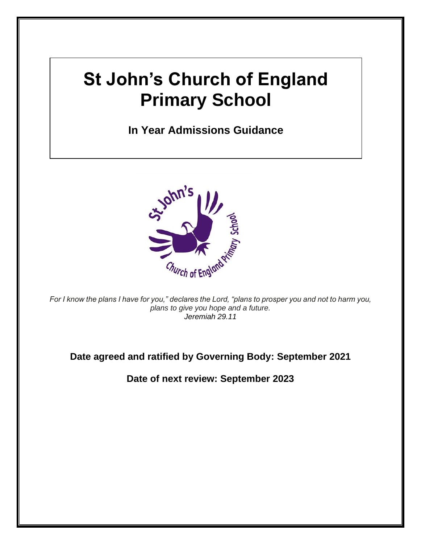# **St John's Church of England Primary School**

**In Year Admissions Guidance**



*For I know the plans I have for you," declares the Lord, "plans to prosper you and not to harm you, plans to give you hope and a future. Jeremiah 29.11*

**Date agreed and ratified by Governing Body: September 2021**

**Date of next review: September 2023**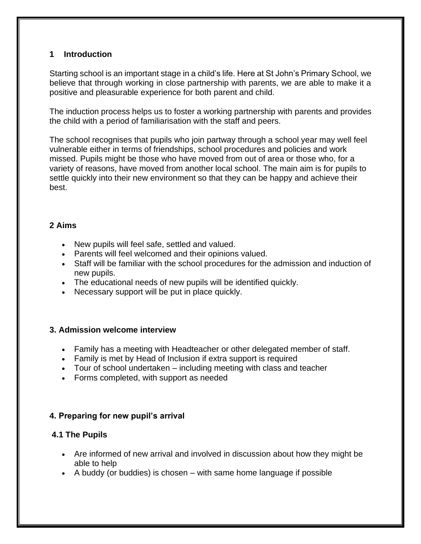#### **1 Introduction**

Starting school is an important stage in a child's life. Here at St John's Primary School, we believe that through working in close partnership with parents, we are able to make it a positive and pleasurable experience for both parent and child.

The induction process helps us to foster a working partnership with parents and provides the child with a period of familiarisation with the staff and peers.

The school recognises that pupils who join partway through a school year may well feel vulnerable either in terms of friendships, school procedures and policies and work missed. Pupils might be those who have moved from out of area or those who, for a variety of reasons, have moved from another local school. The main aim is for pupils to settle quickly into their new environment so that they can be happy and achieve their best.

## **2 Aims**

- New pupils will feel safe, settled and valued.
- Parents will feel welcomed and their opinions valued.
- Staff will be familiar with the school procedures for the admission and induction of new pupils.
- The educational needs of new pupils will be identified quickly.
- Necessary support will be put in place quickly.

#### **3. Admission welcome interview**

- Family has a meeting with Headteacher or other delegated member of staff.
- Family is met by Head of Inclusion if extra support is required
- Tour of school undertaken including meeting with class and teacher
- Forms completed, with support as needed

## **4. Preparing for new pupil's arrival**

## **4.1 The Pupils**

- Are informed of new arrival and involved in discussion about how they might be able to help
- A buddy (or buddies) is chosen with same home language if possible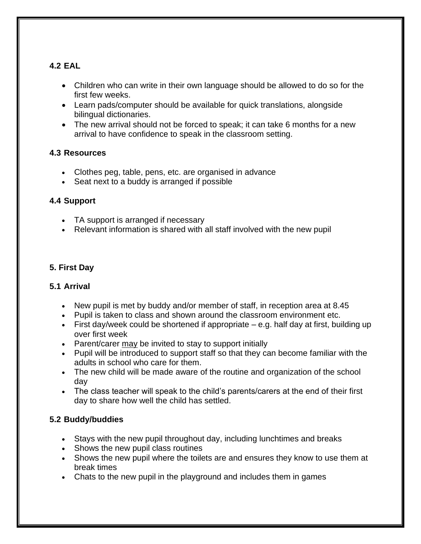# **4.2 EAL**

- Children who can write in their own language should be allowed to do so for the first few weeks.
- Learn pads/computer should be available for quick translations, alongside bilingual dictionaries.
- The new arrival should not be forced to speak; it can take 6 months for a new arrival to have confidence to speak in the classroom setting.

# **4.3 Resources**

- Clothes peg, table, pens, etc. are organised in advance
- Seat next to a buddy is arranged if possible

# **4.4 Support**

- TA support is arranged if necessary
- Relevant information is shared with all staff involved with the new pupil

# **5. First Day**

## **5.1 Arrival**

- New pupil is met by buddy and/or member of staff, in reception area at 8.45
- Pupil is taken to class and shown around the classroom environment etc.
- First day/week could be shortened if appropriate  $-e.g.$  half day at first, building up over first week
- Parent/carer may be invited to stay to support initially
- Pupil will be introduced to support staff so that they can become familiar with the adults in school who care for them.
- The new child will be made aware of the routine and organization of the school day
- The class teacher will speak to the child's parents/carers at the end of their first day to share how well the child has settled.

## **5.2 Buddy/buddies**

- Stays with the new pupil throughout day, including lunchtimes and breaks
- Shows the new pupil class routines
- Shows the new pupil where the toilets are and ensures they know to use them at break times
- Chats to the new pupil in the playground and includes them in games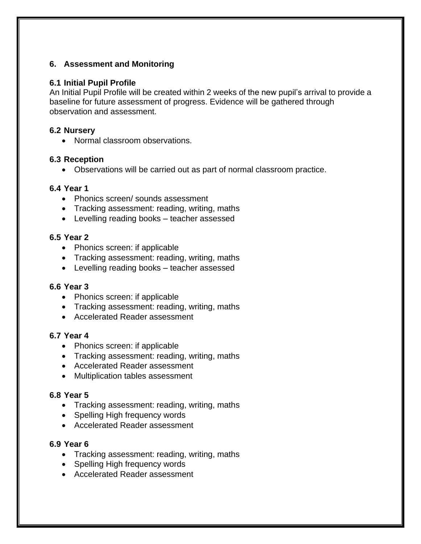### **6. Assessment and Monitoring**

#### **6.1 Initial Pupil Profile**

An Initial Pupil Profile will be created within 2 weeks of the new pupil's arrival to provide a baseline for future assessment of progress. Evidence will be gathered through observation and assessment.

#### **6.2 Nursery**

• Normal classroom observations.

#### **6.3 Reception**

• Observations will be carried out as part of normal classroom practice.

#### **6.4 Year 1**

- Phonics screen/ sounds assessment
- Tracking assessment: reading, writing, maths
- Levelling reading books teacher assessed

#### **6.5 Year 2**

- Phonics screen: if applicable
- Tracking assessment: reading, writing, maths
- Levelling reading books teacher assessed

#### **6.6 Year 3**

- Phonics screen: if applicable
- Tracking assessment: reading, writing, maths
- Accelerated Reader assessment

#### **6.7 Year 4**

- Phonics screen: if applicable
- Tracking assessment: reading, writing, maths
- Accelerated Reader assessment
- Multiplication tables assessment

#### **6.8 Year 5**

- Tracking assessment: reading, writing, maths
- Spelling High frequency words
- Accelerated Reader assessment

#### **6.9 Year 6**

- Tracking assessment: reading, writing, maths
- Spelling High frequency words
- Accelerated Reader assessment